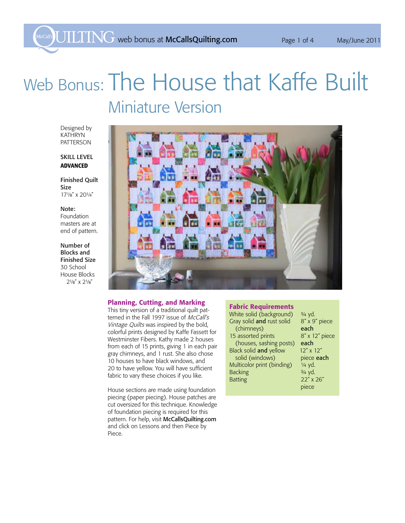# Web Bonus: The House that Kaffe Built Miniature Version

Designed by Kathryn **PATTERSON** 

# SKILL LEVEL Advanced

Finished Quilt Size 171/8" x 201/4"

#### Note:

Foundation masters are at end of pattern.

Number of Blocks and Finished Size 30 School House Blocks  $2\frac{1}{8}$ " x  $2\frac{1}{8}$ "



#### Planning, Cutting, and Marking

This tiny version of a traditional quilt patterned in the Fall 1997 issue of McCall's Vintage Quilts was inspired by the bold, colorful prints designed by Kaffe Fassett for Westminster Fibers. Kathy made 2 houses from each of 15 prints, giving 1 in each pair gray chimneys, and 1 rust. She also chose 10 houses to have black windows, and 20 to have yellow. You will have sufficient fabric to vary these choices if you like.

House sections are made using foundation piecing (paper piecing). House patches are cut oversized for this technique. Knowledge of foundation piecing is required for this pattern. For help, visit McCallsQuilting.com and click on Lessons and then Piece by Piece.

#### Fabric Requirements

| White solid (background)   | $3/4$ yd.          |
|----------------------------|--------------------|
| Gray solid and rust solid  | 8" x 9" piece      |
| (chimneys)                 | each               |
| 15 assorted prints         | 8" x 12" piece     |
| (houses, sashing posts)    | each               |
| Black solid and yellow     | $12'' \times 12''$ |
| solid (windows)            | piece each         |
| Multicolor print (binding) | 1/4 yd.            |
| <b>Backing</b>             | 3/4 yd.            |
| <b>Batting</b>             | 22" x 26"          |
|                            | piece              |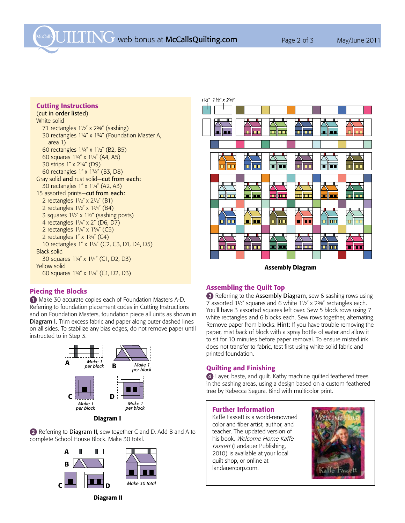McCall's  $\overline{UIIIN}$  web bonus at McCallsQuilting.com Page 2 of 3 May/June 2011

#### Cutting Instructions

# (cut in order listed)

White solid 71 rectangles  $1\frac{1}{2}$  x  $2\frac{5}{8}$  (sashing) 30 rectangles 11/4" x 13/4" (Foundation Master A, area 1) 60 rectangles 11/4" x 11/2" (B2, B5) 60 squares 11/4" x 11/4" (A4, A5) 30 strips 1" x 21/4" (D9) 60 rectangles 1" x 13/4" (B3, D8) Gray solid and rust solid—cut from each: 30 rectangles 1" x 11/4" (A2, A3) 15 assorted prints-cut from each: 2 rectangles  $1\frac{1}{2}$  x  $2\frac{1}{2}$  (B1) 2 rectangles  $1\frac{1}{2}x$  x  $1\frac{3}{4}x$  (B4) 3 squares  $1\frac{1}{2}$  x  $1\frac{1}{2}$  (sashing posts) 4 rectangles  $1\frac{1}{4}$  x 2" (D6, D7) 2 rectangles  $1\frac{1}{4}$  x  $1\frac{3}{4}$  (C5) 2 rectangles  $1'' \times 13/4''$  (C4) 10 rectangles 1" x 11/4" (C2, C3, D1, D4, D5) Black solid 30 squares 11/4" x 11/4" (C1, D2, D3) Yellow solid 60 squares  $1\frac{1}{4}$  x  $1\frac{1}{4}$  (C1, D2, D3)



Assembly Diagram

## Piecing the Blocks

1 Make 30 accurate copies each of Foundation Masters A-D. Referring to foundation placement codes in Cutting Instructions and on Foundation Masters, foundation piece all units as shown in **Diagram I.** Trim excess fabric and paper along outer dashed lines on all sides. To stabilize any bias edges, do not remove paper until instructed to in Step 3.



Diagram I

2 Referring to Diagram II, sew together C and D. Add B and A to complete School House Block. Make 30 total.



Diagram II

## Assembling the Quilt Top

<sup>3</sup> Referring to the Assembly Diagram, sew 6 sashing rows using 7 assorted  $1\frac{1}{2}$  squares and 6 white  $1\frac{1}{2}$  x  $2\frac{5}{6}$  rectangles each. You'll have 3 assorted squares left over. Sew 5 block rows using 7 white rectangles and 6 blocks each. Sew rows together, alternating. Remove paper from blocks. Hint: If you have trouble removing the paper, mist back of block with a spray bottle of water and allow it to sit for 10 minutes before paper removal. To ensure misted ink does not transfer to fabric, test first using white solid fabric and printed foundation.

#### Quilting and Finishing

4 Layer, baste, and quilt. Kathy machine quilted feathered trees in the sashing areas, using a design based on a custom feathered tree by Rebecca Segura. Bind with multicolor print.

#### Further Information

Kaffe Fassett is a world-renowned color and fiber artist, author, and teacher. The updated version of his book, Welcome Home Kaffe Fassett (Landauer Publishing, 2010) is available at your local quilt shop, or online at landauercorp.com.

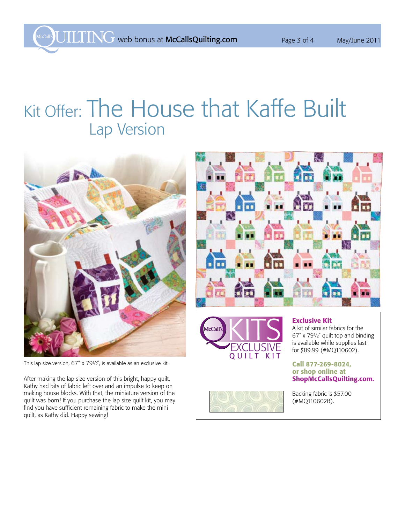# Kit Offer: The House that Kaffe Built Lap Version



This lap size version,  $67''$  x  $79\frac{1}{2}$ , is available as an exclusive kit.

After making the lap size version of this bright, happy quilt, Kathy had bits of fabric left over and an impulse to keep on making house blocks. With that, the miniature version of the quilt was born! If you purchase the lap size quilt kit, you may find you have sufficient remaining fabric to make the mini quilt, as Kathy did. Happy sewing!





## Exclusive Kit

A kit of similar fabrics for the 67" x 791/2" quilt top and binding is available while supplies last for \$89.99 (#MQ110602).

## Call 877-269-8024, or shop online at ShopMcCallsQuilting.com.



Backing fabric is \$57.00 (#MQ110602B).